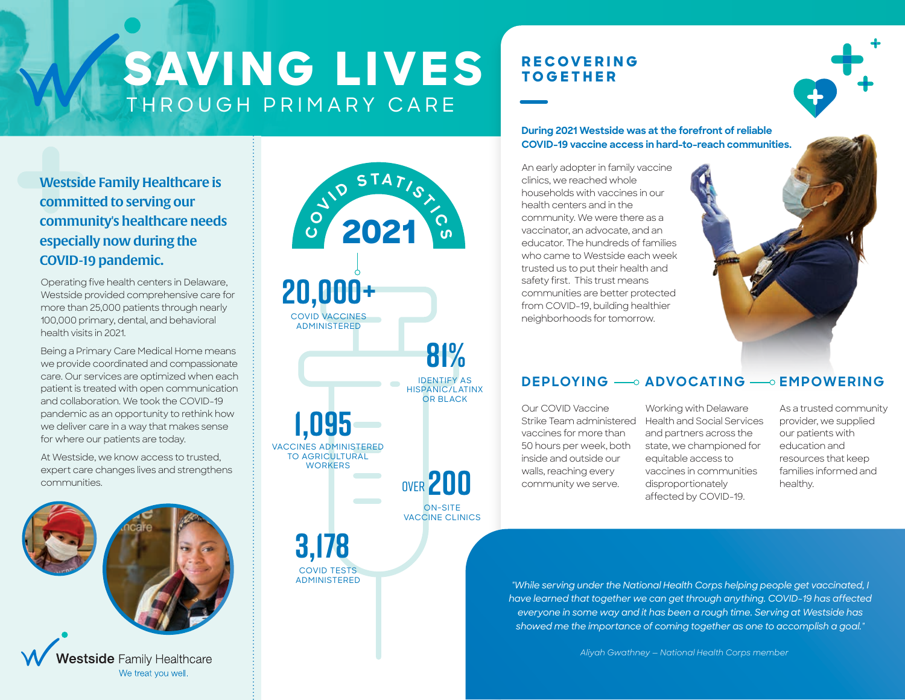**SAVING LIVES** THROUGH PRIMARY CARE

**2021 C**

 $\frac{1}{2}$  **D**  $\frac{5}{14}$  **I**  $\frac{1}{2}$  **C** 

**20,000+**

COVID VACCINES ADMINISTERED

**3,178**

COVID TESTS ADMINISTERED

**1,095**

VACCINES ADMINISTERED TO AGRICULTURAL **WORKERS** 

OVER **200**

ON-SITE VACCINE CLINICS

**81%**

 $\mathbf{S}$ 

IDENTIFY AS HISPANIC/LATINX OR BLACK

# **RECOVERING TOGETHER**

**During 2021 Westside was at the forefront of reliable COVID-19 vaccine access in hard-to-reach communities.**

An early adopter in family vaccine clinics, we reached whole households with vaccines in our health centers and in the community. We were there as a vaccinator, an advocate, and an educator. The hundreds of families who came to Westside each week trusted us to put their health and safety first. This trust means communities are better protected from COVID-19, building healthier neighborhoods for tomorrow.



## **DEPLOYING** — ADVOCATING — EMPOWERING

Our COVID Vaccine vaccines for more than 50 hours per week, both inside and outside our walls, reaching every community we serve.

Strike Team administered Health and Social Services Working with Delaware and partners across the state, we championed for equitable access to vaccines in communities disproportionately affected by COVID-19.

As a trusted community provider, we supplied our patients with education and resources that keep families informed and healthy.

*"While serving under the National Health Corps helping people get vaccinated, I have learned that together we can get through anything. COVID-19 has affected everyone in some way and it has been a rough time. Serving at Westside has showed me the importance of coming together as one to accomplish a goal."*

*Aliyah Gwathney — National Health Corps member*

Westside Family Healthcare is committed to serving our community's healthcare needs especially now during the COVID-19 pandemic.

Operating five health centers in Delaware, Westside provided comprehensive care for more than 25,000 patients through nearly 100,000 primary, dental, and behavioral health visits in 2021.

Being a Primary Care Medical Home means we provide coordinated and compassionate care. Our services are optimized when each patient is treated with open communication and collaboration. We took the COVID-19 pandemic as an opportunity to rethink how we deliver care in a way that makes sense for where our patients are today.

At Westside, we know access to trusted, expert care changes lives and strengthens communities.